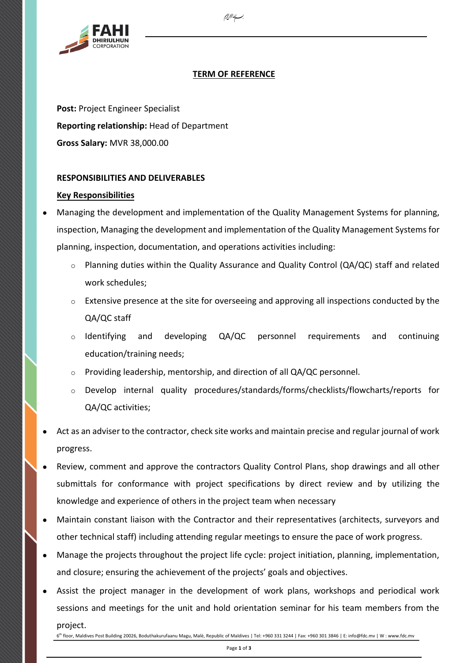

# **TERM OF REFERENCE**

*`*

**Post:** Project Engineer Specialist **Reporting relationship:** Head of Department **Gross Salary:** MVR 38,000.00

# **RESPONSIBILITIES AND DELIVERABLES**

# **Key Responsibilities**

- Managing the development and implementation of the Quality Management Systems for planning, inspection, Managing the development and implementation of the Quality Management Systems for planning, inspection, documentation, and operations activities including:
	- $\circ$  Planning duties within the Quality Assurance and Quality Control (QA/QC) staff and related work schedules;
	- $\circ$  Extensive presence at the site for overseeing and approving all inspections conducted by the QA/QC staff
	- $\circ$  Identifying and developing QA/QC personnel requirements and continuing education/training needs;
	- o Providing leadership, mentorship, and direction of all QA/QC personnel.
	- o Develop internal quality procedures/standards/forms/checklists/flowcharts/reports for QA/QC activities;
- Act as an adviser to the contractor, check site works and maintain precise and regular journal of work progress.
- Review, comment and approve the contractors Quality Control Plans, shop drawings and all other submittals for conformance with project specifications by direct review and by utilizing the knowledge and experience of others in the project team when necessary
- Maintain constant liaison with the Contractor and their representatives (architects, surveyors and other technical staff) including attending regular meetings to ensure the pace of work progress.
- Manage the projects throughout the project life cycle: project initiation, planning, implementation, and closure; ensuring the achievement of the projects' goals and objectives.
- Assist the project manager in the development of work plans, workshops and periodical work sessions and meetings for the unit and hold orientation seminar for his team members from the project.

6<sup>th</sup> floor, Maldives Post Building 20026, Boduthakurufaanu Magu, Malè, Republic of Maldives | Tel: +960 331 3244 | Fax: +960 301 3846 | E: info@fdc.mv | W : www.fdc.mv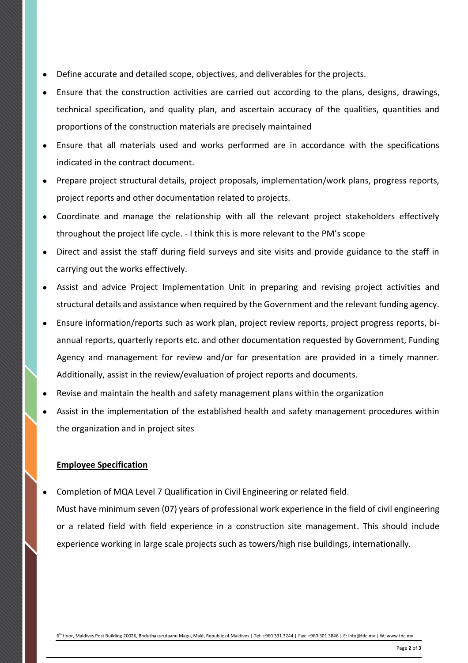- Define accurate and detailed scope, objectives, and deliverables for the projects.
- Ensure that the construction activities are carried out according to the plans, designs, drawings, technical specification, and quality plan, and ascertain accuracy of the qualities, quantities and proportions of the construction materials are precisely maintained
- Ensure that all materials used and works performed are in accordance with the specifications indicated in the contract document.
- Prepare project structural details, project proposals, implementation/work plans, progress reports, project reports and other documentation related to projects.
- Coordinate and manage the relationship with all the relevant project stakeholders effectively throughout the project life cycle. - I think this is more relevant to the PM's scope
- Direct and assist the staff during field surveys and site visits and provide guidance to the staff in carrying out the works effectively.
- Assist and advice Project Implementation Unit in preparing and revising project activities and structural details and assistance when required by the Government and the relevant funding agency.
- Ensure information/reports such as work plan, project review reports, project progress reports, biannual reports, quarterly reports etc. and other documentation requested by Government, Funding Agency and management for review and/or for presentation are provided in a timely manner. Additionally, assist in the review/evaluation of project reports and documents.
- Revise and maintain the health and safety management plans within the organization
- Assist in the implementation of the established health and safety management procedures within the organization and in project sites

#### **Employee Specification**

Completion of MQA Level 7 Qualification in Civil Engineering or related field.

Must have minimum seven (07) years of professional work experience in the field of civil engineering or a related field with field experience in a construction site management. This should include experience working in large scale projects such as towers/high rise buildings, internationally.

6<sup>th</sup> floor, Maldives Post Building 20026, Boduthakurufaanu Magu, Malè, Republic of Maldives | Tel: +960 331 3244 | Fax: +960 301 3846 | E: info@fdc.mv | W: www.fdc.mv